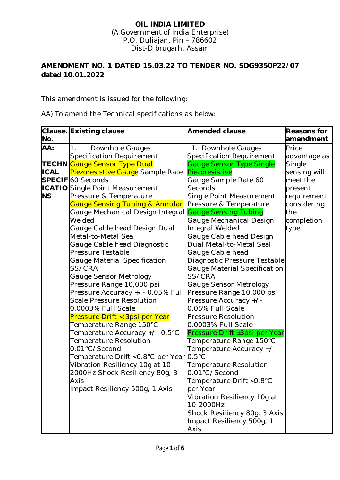## **OIL INDIA LIMITED** (A Government of India Enterprise) P.O. Duliajan, Pin – 786602 Dist-Dibrugarh, Assam

## **AMENDMENT NO. 1 DATED 15.03.22 TO TENDER NO. SDG9350P22/07 dated 10.01.2022**

This amendment is issued for the following:

AA) To amend the Technical specifications as below:

|             | Clause. Existing clause                 | <b>Amended clause</b>           | <b>Reasons for</b> |
|-------------|-----------------------------------------|---------------------------------|--------------------|
| No.         |                                         |                                 | amendment          |
| AA:         | 1.<br>Downhole Gauges                   | 1. Downhole Gauges              | Price              |
|             | Specification Requirement               | Specification Requirement       | advantage as       |
|             | TECHN Gauge Sensor Type Dual            | <b>Gauge Sensor Type Single</b> | Single             |
| <b>ICAL</b> | <b>Piezoresistive Gauge</b> Sample Rate | Piezoresistive                  | sensing will       |
|             | <b>SPECIF</b> 60 Seconds                | Gauge Sample Rate 60            | meet the           |
|             | <b>ICATIO</b> Single Point Measurement  | Seconds                         | present            |
| <b>NS</b>   | Pressure & Temperature                  | Single Point Measurement        | requirement        |
|             | Gauge Sensing Tubing & Annular          | Pressure & Temperature          | considering        |
|             | Gauge Mechanical Design Integral        | <b>Gauge Sensing Tubing</b>     | the                |
|             | Welded                                  | Gauge Mechanical Design         | completion         |
|             | Gauge Cable head Design Dual            | Integral Welded                 | type.              |
|             | Metal-to-Metal Seal                     | Gauge Cable head Design         |                    |
|             | Gauge Cable head Diagnostic             | Dual Metal-to-Metal Seal        |                    |
|             | Pressure Testable                       | Gauge Cable head                |                    |
|             | Gauge Material Specification            | Diagnostic Pressure Testable    |                    |
|             | SS/CRA                                  | Gauge Material Specification    |                    |
|             | Gauge Sensor Metrology                  | SS/CRA                          |                    |
|             | Pressure Range 10,000 psi               | Gauge Sensor Metrology          |                    |
|             | Pressure Accuracy +/- 0.05% Full        | Pressure Range 10,000 psi       |                    |
|             | <b>Scale Pressure Resolution</b>        | Pressure Accuracy +/-           |                    |
|             | 0.0003% Full Scale                      | 0.05% Full Scale                |                    |
|             | Pressure Drift < 3psi per Year          | <b>Pressure Resolution</b>      |                    |
|             | Temperature Range 150°C                 | 0.0003% Full Scale              |                    |
|             | Temperature Accuracy +/- 0.5°C          | Pressure Drift ±3psi per Year   |                    |
|             | <b>Temperature Resolution</b>           | Temperature Range 150°C         |                    |
|             | 0.01°C/Second                           | Temperature Accuracy +/-        |                    |
|             | Temperature Drift <0.8°C per Year 0.5°C |                                 |                    |
|             | Vibration Resiliency 10g at 10-         | Temperature Resolution          |                    |
|             | 2000Hz Shock Resiliency 80g, 3          | 0.01°C/Second                   |                    |
|             | Axis                                    | Temperature Drift < 0.8°C       |                    |
|             | Impact Resiliency 500g, 1 Axis          | per Year                        |                    |
|             |                                         | Vibration Resiliency 10g at     |                    |
|             |                                         | 10-2000Hz                       |                    |
|             |                                         | Shock Resiliency 80g, 3 Axis    |                    |
|             |                                         | Impact Resiliency 500g, 1       |                    |
|             |                                         | Axis                            |                    |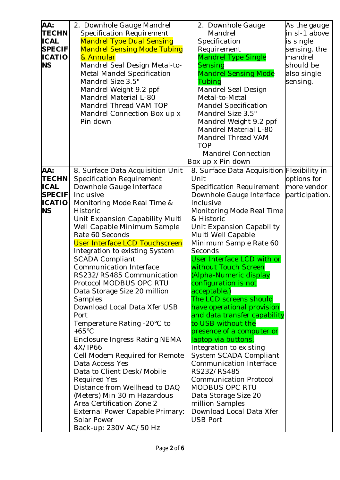| AA:<br><b>TECHN</b><br><b>ICAL</b><br><b>SPECIF</b><br><b>ICATIO</b><br><b>NS</b>  | 2. Downhole Gauge Mandrel<br><b>Specification Requirement</b><br><b>Mandrel Type Dual Sensing</b><br><b>Mandrel Sensing Mode Tubing</b><br>& Annular<br>Mandrel Seal Design Metal-to-<br><b>Metal Mandel Specification</b><br>Mandrel Size 3.5"<br>Mandrel Weight 9.2 ppf<br>Mandrel Material L-80<br>Mandrel Thread VAM TOP<br>Mandrel Connection Box up x<br>Pin down                                                                                                                                                                                                                                                                                                                                                                                                                                                                                                                            | 2. Downhole Gauge<br>Mandrel<br>Specification<br>Requirement<br><b>Mandrel Type Single</b><br>Sensing<br><b>Mandrel Sensing Mode</b><br>Tubing<br>Mandrel Seal Design<br>Metal-to-Metal<br><b>Mandel Specification</b><br>Mandrel Size 3.5"<br>Mandrel Weight 9.2 ppf<br>Mandrel Material L-80<br>Mandrel Thread VAM<br><b>TOP</b><br><b>Mandrel Connection</b><br>Box up x Pin down                                                                                                                                                                                                                                                                                                                                                                                                              | As the gauge<br>in sl-1 above<br>is single<br>sensing, the<br>mandrel<br>should be<br>also single<br>sensing. |
|------------------------------------------------------------------------------------|----------------------------------------------------------------------------------------------------------------------------------------------------------------------------------------------------------------------------------------------------------------------------------------------------------------------------------------------------------------------------------------------------------------------------------------------------------------------------------------------------------------------------------------------------------------------------------------------------------------------------------------------------------------------------------------------------------------------------------------------------------------------------------------------------------------------------------------------------------------------------------------------------|---------------------------------------------------------------------------------------------------------------------------------------------------------------------------------------------------------------------------------------------------------------------------------------------------------------------------------------------------------------------------------------------------------------------------------------------------------------------------------------------------------------------------------------------------------------------------------------------------------------------------------------------------------------------------------------------------------------------------------------------------------------------------------------------------|---------------------------------------------------------------------------------------------------------------|
| AA:<br><b>TECHN</b><br><b>ICAL</b><br><b>SPECIF</b><br><b>ICATIO</b><br><b>INS</b> | 8. Surface Data Acquisition Unit<br>Specification Requirement<br>Downhole Gauge Interface<br>Inclusive<br>Monitoring Mode Real Time &<br><b>Historic</b><br>Unit Expansion Capability Multi<br>Well Capable Minimum Sample<br>Rate 60 Seconds<br>User Interface LCD Touchscreen<br>Integration to existing System<br><b>SCADA Compliant</b><br>Communication Interface<br>RS232/RS485 Communication<br>Protocol MODBUS OPC RTU<br>Data Storage Size 20 million<br>Samples<br>Download Local Data Xfer USB<br>Port<br>Temperature Rating -20°C to<br>$+65^{\circ}$ C<br>Enclosure Ingress Rating NEMA<br>4X/IP66<br>Cell Modem Required for Remote<br>Data Access Yes<br>Data to Client Desk/Mobile<br><b>Required Yes</b><br>Distance from Wellhead to DAQ<br>(Meters) Min 30 m Hazardous<br>Area Certification Zone 2<br>External Power Capable Primary:<br>Solar Power<br>Back-up: 230V AC/50 Hz | 8. Surface Data Acquisition Flexibility in<br>Unit<br>Specification Requirement<br>Downhole Gauge Interface<br>Inclusive<br>Monitoring Mode Real Time<br>& Historic<br>Unit Expansion Capability<br>Multi Well Capable<br>Minimum Sample Rate 60<br>Seconds<br>User Interface LCD with or<br>without Touch Screen<br>(Alpha-Numeric display<br>configuration is not<br>acceptable.)<br>The LCD screens should<br>have operational provision<br>and data transfer capability<br>to USB without the<br>presence of a computer or<br>laptop via buttons.<br>Integration to existing<br>System SCADA Compliant<br>Communication Interface<br>RS232/RS485<br><b>Communication Protocol</b><br>MODBUS OPC RTU<br>Data Storage Size 20<br>million Samples<br>Download Local Data Xfer<br><b>USB Port</b> | options for<br>more vendor<br>participation.                                                                  |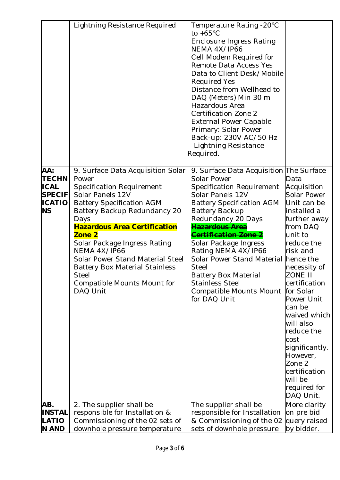|                                                                                   | Lightning Resistance Required                                                                                                                                                                                                                                                                                                                                                                                    | Temperature Rating -20°C<br>to $+65^{\circ}$ C<br><b>Enclosure Ingress Rating</b><br>NEMA 4X/IP66<br>Cell Modem Required for<br>Remote Data Access Yes<br>Data to Client Desk/Mobile<br><b>Required Yes</b><br>Distance from Wellhead to<br>DAQ (Meters) Min 30 m<br>Hazardous Area<br>Certification Zone 2<br><b>External Power Capable</b><br>Primary: Solar Power<br>Back-up: 230V AC/50 Hz<br>Lightning Resistance<br>Required.               |                                                                                                                                                                                                                                                                                                                                                                                     |
|-----------------------------------------------------------------------------------|------------------------------------------------------------------------------------------------------------------------------------------------------------------------------------------------------------------------------------------------------------------------------------------------------------------------------------------------------------------------------------------------------------------|---------------------------------------------------------------------------------------------------------------------------------------------------------------------------------------------------------------------------------------------------------------------------------------------------------------------------------------------------------------------------------------------------------------------------------------------------|-------------------------------------------------------------------------------------------------------------------------------------------------------------------------------------------------------------------------------------------------------------------------------------------------------------------------------------------------------------------------------------|
| AA:<br><b>TECHN</b><br><b>ICAL</b><br><b>SPECIF</b><br><b>ICATIO</b><br><b>NS</b> | 9. Surface Data Acquisition Solar<br>Power<br>Specification Requirement<br>Solar Panels 12V<br><b>Battery Specification AGM</b><br>Battery Backup Redundancy 20<br>Days<br><b>Hazardous Area Certification</b><br>Zone 2<br>Solar Package Ingress Rating<br>NEMA 4X/IP66<br>Solar Power Stand Material Steel<br><b>Battery Box Material Stainless</b><br><b>Steel</b><br>Compatible Mounts Mount for<br>DAQ Unit | 9. Surface Data Acquisition The Surface<br>Solar Power<br>Specification Requirement<br>Solar Panels 12V<br><b>Battery Specification AGM</b><br><b>Battery Backup</b><br>Redundancy 20 Days<br><del>Hazardous Area</del><br>Certification Zone 2<br>Solar Package Ingress<br>Rating NEMA 4X/IP66<br>Solar Power Stand Material<br><b>Steel</b><br><b>Battery Box Material</b><br><b>Stainless Steel</b><br>Compatible Mounts Mount<br>for DAQ Unit | Data<br>Acquisition<br>Solar Power<br>Unit can be<br>installed a<br>further away<br>from DAQ<br>unit to<br>reduce the<br>risk and<br>hence the<br>necessity of<br>ZONE II<br>certification<br>for Solar<br>Power Unit<br>can be<br>waived which<br>will also<br>reduce the<br>cost<br>significantly.<br>However,<br>Zone 2<br>certification<br>will be<br>required for<br>DAQ Unit. |
| AB.<br><b>INSTAL</b><br>LATIO<br><b>N AND</b>                                     | 2. The supplier shall be<br>responsible for Installation &<br>Commissioning of the 02 sets of<br>downhole pressure temperature                                                                                                                                                                                                                                                                                   | The supplier shall be<br>responsible for Installation<br>& Commissioning of the 02<br>sets of downhole pressure                                                                                                                                                                                                                                                                                                                                   | More clarity<br>on pre bid<br>query raised<br>by bidder.                                                                                                                                                                                                                                                                                                                            |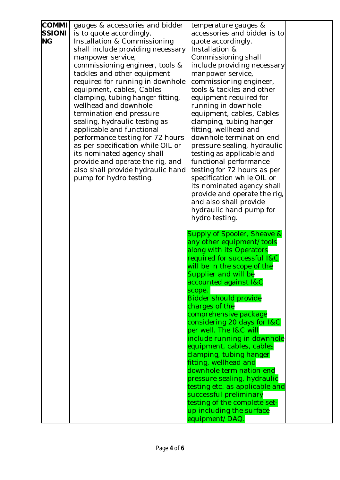| <b>COMMI</b>  | gauges & accessories and bidder                                       | temperature gauges &                                  |  |
|---------------|-----------------------------------------------------------------------|-------------------------------------------------------|--|
| <b>SSIONI</b> | is to quote accordingly.                                              | accessories and bidder is to                          |  |
| <b>NG</b>     | Installation & Commissioning                                          | quote accordingly.                                    |  |
|               | shall include providing necessary                                     | Installation &                                        |  |
|               | manpower service,                                                     | Commissioning shall                                   |  |
|               | commissioning engineer, tools &                                       | include providing necessary                           |  |
|               | tackles and other equipment                                           | manpower service,                                     |  |
|               | required for running in downhole                                      | commissioning engineer,                               |  |
|               | equipment, cables, Cables                                             | tools & tackles and other                             |  |
|               | clamping, tubing hanger fitting,                                      | equipment required for                                |  |
|               | wellhead and downhole                                                 | running in downhole                                   |  |
|               | termination end pressure                                              | equipment, cables, Cables                             |  |
|               | sealing, hydraulic testing as                                         | clamping, tubing hanger                               |  |
|               | applicable and functional                                             | fitting, wellhead and                                 |  |
|               | performance testing for 72 hours                                      | downhole termination end                              |  |
|               | as per specification while OIL or                                     | pressure sealing, hydraulic                           |  |
|               | its nominated agency shall                                            | testing as applicable and                             |  |
|               | provide and operate the rig, and<br>also shall provide hydraulic hand | functional performance<br>testing for 72 hours as per |  |
|               | pump for hydro testing.                                               | specification while OIL or                            |  |
|               |                                                                       | its nominated agency shall                            |  |
|               |                                                                       | provide and operate the rig,                          |  |
|               |                                                                       | and also shall provide                                |  |
|               |                                                                       | hydraulic hand pump for                               |  |
|               |                                                                       | hydro testing.                                        |  |
|               |                                                                       |                                                       |  |
|               |                                                                       | Supply of Spooler, Sheave &                           |  |
|               |                                                                       | any other equipment/tools                             |  |
|               |                                                                       | along with its Operators                              |  |
|               |                                                                       | required for successful I&C                           |  |
|               |                                                                       | will be in the scope of the                           |  |
|               |                                                                       | Supplier and will be                                  |  |
|               |                                                                       | accounted against I&C                                 |  |
|               |                                                                       | scope.                                                |  |
|               |                                                                       | <b>Bidder should provide</b>                          |  |
|               |                                                                       | charges of the                                        |  |
|               |                                                                       | comprehensive package                                 |  |
|               |                                                                       | considering 20 days for I&C                           |  |
|               |                                                                       | per well. The I&C will                                |  |
|               |                                                                       | include running in downhole                           |  |
|               |                                                                       | equipment, cables, cables<br>clamping, tubing hanger  |  |
|               |                                                                       | fitting, wellhead and                                 |  |
|               |                                                                       | downhole termination end                              |  |
|               |                                                                       | pressure sealing, hydraulic                           |  |
|               |                                                                       | testing etc. as applicable and                        |  |
|               |                                                                       | successful preliminary                                |  |
|               |                                                                       | testing of the complete set-                          |  |
|               |                                                                       | up including the surface                              |  |
|               |                                                                       | equipment/DAQ.                                        |  |
|               |                                                                       |                                                       |  |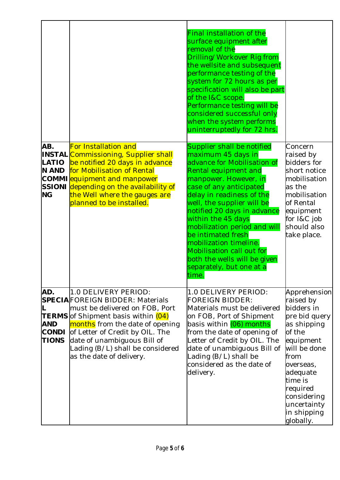|                                                        |                                                                                                                                                                                                                                                                                                                      | Final installation of the<br>surface equipment after<br>removal of the<br>Drilling/Workover Rig from<br>the wellsite and subsequent<br>performance testing of the<br>system for 72 hours as per<br>specification will also be part<br>of the I&C scope.<br>Performance testing will be<br>considered successful only<br>when the system performs<br>uninterruptedly for 72 hrs.                                                                               |                                                                                                                                                                                                                                  |
|--------------------------------------------------------|----------------------------------------------------------------------------------------------------------------------------------------------------------------------------------------------------------------------------------------------------------------------------------------------------------------------|---------------------------------------------------------------------------------------------------------------------------------------------------------------------------------------------------------------------------------------------------------------------------------------------------------------------------------------------------------------------------------------------------------------------------------------------------------------|----------------------------------------------------------------------------------------------------------------------------------------------------------------------------------------------------------------------------------|
| AB.<br>LATIO<br><b>N AND</b><br><b>NG</b>              | <b>For Installation and</b><br><b>INSTAL</b> Commissioning, Supplier shall<br>be notified 20 days in advance<br>for Mobilisation of Rental<br><b>COMMI</b> equipment and manpower<br>SSIONI depending on the availability of<br>the Well where the gauges are<br>planned to be installed.                            | Supplier shall be notified<br>maximum 45 days in<br>advance for Mobilisation of<br>Rental equipment and<br>manpower. However, in<br>case of any anticipated<br>delay in readiness of the<br>well, the supplier will be<br>notified 20 days in advance<br>within the 45 days<br>mobilization period and will<br>be intimated fresh<br>mobilization timeline.<br>Mobilisation call out for<br>both the wells will be given<br>separately, but one at a<br>time. | Concern<br>raised by<br>bidders for<br>short notice<br>mobilisation<br>as the<br>mobilisation<br>of Rental<br>equipment<br>for I&C job<br>should also<br>take place.                                                             |
| AD.<br>L<br><b>AND</b><br><b>CONDI</b><br><b>TIONS</b> | 1.0 DELIVERY PERIOD:<br><b>SPECIA</b> FOREIGN BIDDER: Materials<br>must be delivered on FOB, Port<br><b>TERMS</b> of Shipment basis within (04)<br>months from the date of opening<br>of Letter of Credit by OIL. The<br>date of unambiguous Bill of<br>Lading (B/L) shall be considered<br>as the date of delivery. | 1.0 DELIVERY PERIOD:<br><b>FOREIGN BIDDER:</b><br>Materials must be delivered<br>on FOB, Port of Shipment<br>basis within <mark>(06) months</mark><br>from the date of opening of<br>Letter of Credit by OIL. The<br>date of unambiguous Bill of<br>Lading (B/L) shall be<br>considered as the date of<br>delivery.                                                                                                                                           | Apprehension<br>raised by<br>bidders in<br>pre bid query<br>as shipping<br>of the<br>equipment<br>will be done<br>from<br>overseas,<br>adequate<br>time is<br>required<br>considering<br>uncertainty<br>in shipping<br>globally. |